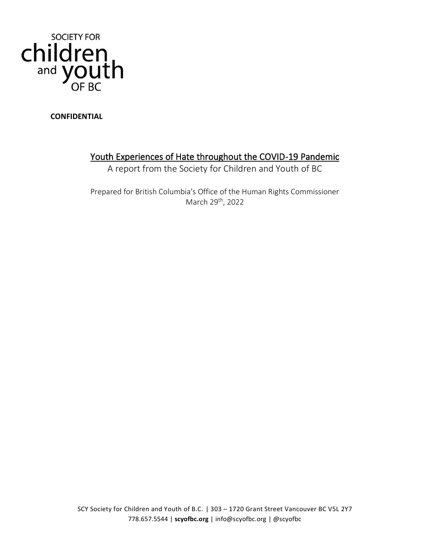

**CONFIDENTIAL** 

# Youth Experiences of Hate throughout the COVID-19 Pandemic

A report from the Society for Children and Youth of BC

Prepared for British Columbia's Office of the Human Rights Commissioner March 29th, 2022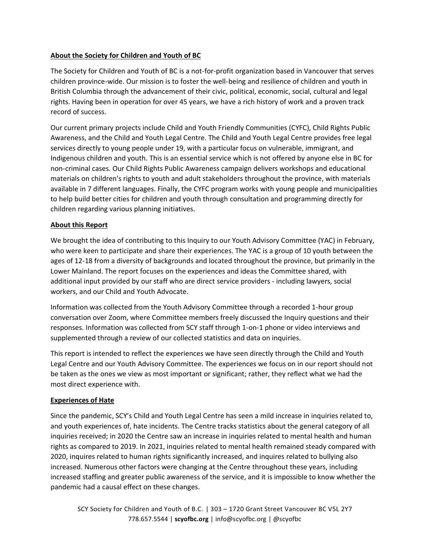# **About the Society for Children and Youth of BC**

The Society for Children and Youth of BC is a not-for-profit organization based in Vancouver that serves children province-wide. Our mission is to foster the well-being and resilience of children and youth in British Columbia through the advancement of their civic, political, economic, social, cultural and legal rights. Having been in operation for over 45 years, we have a rich history of work and a proven track record of success.

Our current primary projects include Child and Youth Friendly Communities (CYFC), Child Rights Public Awareness, and the Child and Youth Legal Centre. The Child and Youth Legal Centre provides free legal services directly to young people under 19, with a particular focus on vulnerable, immigrant, and Indigenous children and youth. This is an essential service which is not offered by anyone else in BC for non-criminal cases. Our Child Rights Public Awareness campaign delivers workshops and educational materials on children's rights to youth and adult stakeholders throughout the province, with materials available in 7 different languages. Finally, the CYFC program works with young people and municipalities to help build better cities for children and youth through consultation and programming directly for children regarding various planning initiatives.

# **About this Report**

We brought the idea of contributing to this Inquiry to our Youth Advisory Committee (YAC) in February, who were keen to participate and share their experiences. The YAC is a group of 10 youth between the ages of 12-18 from a diversity of backgrounds and located throughout the province, but primarily in the Lower Mainland. The report focuses on the experiences and ideas the Committee shared, with additional input provided by our staff who are direct service providers - including lawyers, social workers, and our Child and Youth Advocate.

Information was collected from the Youth Advisory Committee through a recorded 1-hour group conversation over Zoom, where Committee members freely discussed the Inquiry questions and their responses. Information was collected from SCY staff through 1-on-1 phone or video interviews and supplemented through a review of our collected statistics and data on inquiries.

This report is intended to reflect the experiences we have seen directly through the Child and Youth Legal Centre and our Youth Advisory Committee. The experiences we focus on in our report should not be taken as the ones we view as most important or significant; rather, they reflect what we had the most direct experience with.

# **Experiences of Hate**

Since the pandemic, SCY's Child and Youth Legal Centre has seen a mild increase in inquiries related to, and youth experiences of, hate incidents. The Centre tracks statistics about the general category of all inquiries received; in 2020 the Centre saw an increase in inquiries related to mental health and human rights as compared to 2019. In 2021, inquiries related to mental health remained steady compared with 2020, inquires related to human rights significantly increased, and inquires related to bullying also increased. Numerous other factors were changing at the Centre throughout these years, including increased staffing and greater public awareness of the service, and it is impossible to know whether the pandemic had a causal effect on these changes.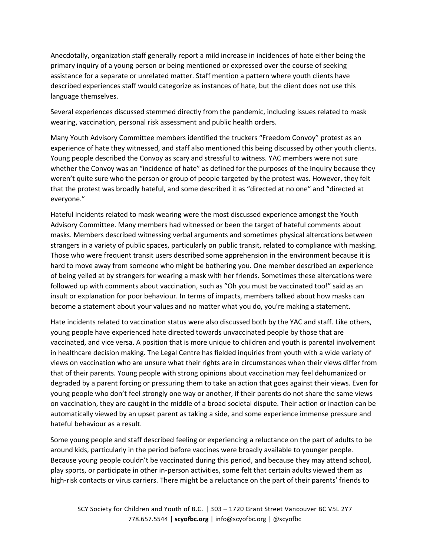Anecdotally, organization staff generally report a mild increase in incidences of hate either being the primary inquiry of a young person or being mentioned or expressed over the course of seeking assistance for a separate or unrelated matter. Staff mention a pattern where youth clients have described experiences staff would categorize as instances of hate, but the client does not use this language themselves.

Several experiences discussed stemmed directly from the pandemic, including issues related to mask wearing, vaccination, personal risk assessment and public health orders.

Many Youth Advisory Committee members identified the truckers "Freedom Convoy" protest as an experience of hate they witnessed, and staff also mentioned this being discussed by other youth clients. Young people described the Convoy as scary and stressful to witness. YAC members were not sure whether the Convoy was an "incidence of hate" as defined for the purposes of the Inquiry because they weren't quite sure who the person or group of people targeted by the protest was. However, they felt that the protest was broadly hateful, and some described it as "directed at no one" and "directed at everyone."

Hateful incidents related to mask wearing were the most discussed experience amongst the Youth Advisory Committee. Many members had witnessed or been the target of hateful comments about masks. Members described witnessing verbal arguments and sometimes physical altercations between strangers in a variety of public spaces, particularly on public transit, related to compliance with masking. Those who were frequent transit users described some apprehension in the environment because it is hard to move away from someone who might be bothering you. One member described an experience of being yelled at by strangers for wearing a mask with her friends. Sometimes these altercations were followed up with comments about vaccination, such as "Oh you must be vaccinated too!" said as an insult or explanation for poor behaviour. In terms of impacts, members talked about how masks can become a statement about your values and no matter what you do, you're making a statement.

Hate incidents related to vaccination status were also discussed both by the YAC and staff. Like others, young people have experienced hate directed towards unvaccinated people by those that are vaccinated, and vice versa. A position that is more unique to children and youth is parental involvement in healthcare decision making. The Legal Centre has fielded inquiries from youth with a wide variety of views on vaccination who are unsure what their rights are in circumstances when their views differ from that of their parents. Young people with strong opinions about vaccination may feel dehumanized or degraded by a parent forcing or pressuring them to take an action that goes against their views. Even for young people who don't feel strongly one way or another, if their parents do not share the same views on vaccination, they are caught in the middle of a broad societal dispute. Their action or inaction can be automatically viewed by an upset parent as taking a side, and some experience immense pressure and hateful behaviour as a result.

Some young people and staff described feeling or experiencing a reluctance on the part of adults to be around kids, particularly in the period before vaccines were broadly available to younger people. Because young people couldn't be vaccinated during this period, and because they may attend school, play sports, or participate in other in-person activities, some felt that certain adults viewed them as high-risk contacts or virus carriers. There might be a reluctance on the part of their parents' friends to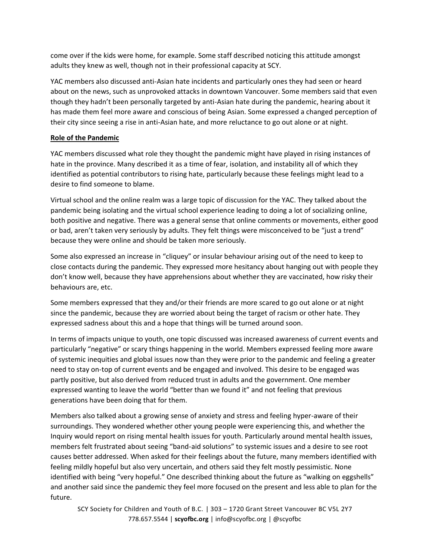come over if the kids were home, for example. Some staff described noticing this attitude amongst adults they knew as well, though not in their professional capacity at SCY.

YAC members also discussed anti-Asian hate incidents and particularly ones they had seen or heard about on the news, such as unprovoked attacks in downtown Vancouver. Some members said that even though they hadn't been personally targeted by anti-Asian hate during the pandemic, hearing about it has made them feel more aware and conscious of being Asian. Some expressed a changed perception of their city since seeing a rise in anti-Asian hate, and more reluctance to go out alone or at night.

## **Role of the Pandemic**

YAC members discussed what role they thought the pandemic might have played in rising instances of hate in the province. Many described it as a time of fear, isolation, and instability all of which they identified as potential contributors to rising hate, particularly because these feelings might lead to a desire to find someone to blame.

Virtual school and the online realm was a large topic of discussion for the YAC. They talked about the pandemic being isolating and the virtual school experience leading to doing a lot of socializing online, both positive and negative. There was a general sense that online comments or movements, either good or bad, aren't taken very seriously by adults. They felt things were misconceived to be "just a trend" because they were online and should be taken more seriously.

Some also expressed an increase in "cliquey" or insular behaviour arising out of the need to keep to close contacts during the pandemic. They expressed more hesitancy about hanging out with people they don't know well, because they have apprehensions about whether they are vaccinated, how risky their behaviours are, etc.

Some members expressed that they and/or their friends are more scared to go out alone or at night since the pandemic, because they are worried about being the target of racism or other hate. They expressed sadness about this and a hope that things will be turned around soon.

In terms of impacts unique to youth, one topic discussed was increased awareness of current events and particularly "negative" or scary things happening in the world. Members expressed feeling more aware of systemic inequities and global issues now than they were prior to the pandemic and feeling a greater need to stay on-top of current events and be engaged and involved. This desire to be engaged was partly positive, but also derived from reduced trust in adults and the government. One member expressed wanting to leave the world "better than we found it" and not feeling that previous generations have been doing that for them.

Members also talked about a growing sense of anxiety and stress and feeling hyper-aware of their surroundings. They wondered whether other young people were experiencing this, and whether the Inquiry would report on rising mental health issues for youth. Particularly around mental health issues, members felt frustrated about seeing "band-aid solutions" to systemic issues and a desire to see root causes better addressed. When asked for their feelings about the future, many members identified with feeling mildly hopeful but also very uncertain, and others said they felt mostly pessimistic. None identified with being "very hopeful." One described thinking about the future as "walking on eggshells" and another said since the pandemic they feel more focused on the present and less able to plan for the future.

SCY Society for Children and Youth of B.C. | 303 – 1720 Grant Street Vancouver BC V5L 2Y7 778.657.5544 | **scyofbc.org** | info@scyofbc.org | @scyofbc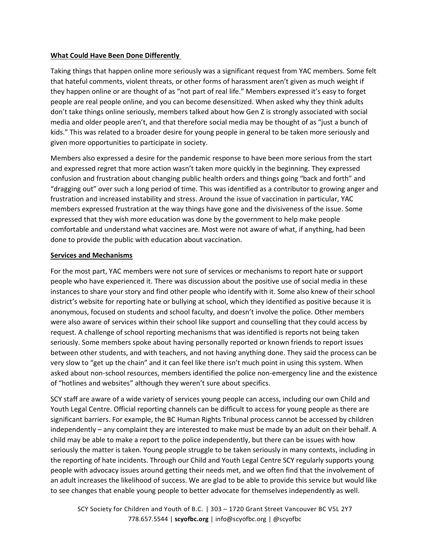## **What Could Have Been Done Differently**

Taking things that happen online more seriously was a significant request from YAC members. Some felt that hateful comments, violent threats, or other forms of harassment aren't given as much weight if they happen online or are thought of as "not part of real life." Members expressed it's easy to forget people are real people online, and you can become desensitized. When asked why they think adults don't take things online seriously, members talked about how Gen Z is strongly associated with social media and older people aren't, and that therefore social media may be thought of as "just a bunch of kids." This was related to a broader desire for young people in general to be taken more seriously and given more opportunities to participate in society.

Members also expressed a desire for the pandemic response to have been more serious from the start and expressed regret that more action wasn't taken more quickly in the beginning. They expressed confusion and frustration about changing public health orders and things going "back and forth" and "dragging out" over such a long period of time. This was identified as a contributor to growing anger and frustration and increased instability and stress. Around the issue of vaccination in particular, YAC members expressed frustration at the way things have gone and the divisiveness of the issue. Some expressed that they wish more education was done by the government to help make people comfortable and understand what vaccines are. Most were not aware of what, if anything, had been done to provide the public with education about vaccination.

### **Services and Mechanisms**

For the most part, YAC members were not sure of services or mechanisms to report hate or support people who have experienced it. There was discussion about the positive use of social media in these instances to share your story and find other people who identify with it. Some also knew of their school district's website for reporting hate or bullying at school, which they identified as positive because it is anonymous, focused on students and school faculty, and doesn't involve the police. Other members were also aware of services within their school like support and counselling that they could access by request. A challenge of school reporting mechanisms that was identified is reports not being taken seriously. Some members spoke about having personally reported or known friends to report issues between other students, and with teachers, and not having anything done. They said the process can be very slow to "get up the chain" and it can feel like there isn't much point in using this system. When asked about non-school resources, members identified the police non-emergency line and the existence of "hotlines and websites" although they weren't sure about specifics.

SCY staff are aware of a wide variety of services young people can access, including our own Child and Youth Legal Centre. Official reporting channels can be difficult to access for young people as there are significant barriers. For example, the BC Human Rights Tribunal process cannot be accessed by children independently – any complaint they are interested to make must be made by an adult on their behalf. A child may be able to make a report to the police independently, but there can be issues with how seriously the matter is taken. Young people struggle to be taken seriously in many contexts, including in the reporting of hate incidents. Through our Child and Youth Legal Centre SCY regularly supports young people with advocacy issues around getting their needs met, and we often find that the involvement of an adult increases the likelihood of success. We are glad to be able to provide this service but would like to see changes that enable young people to better advocate for themselves independently as well.